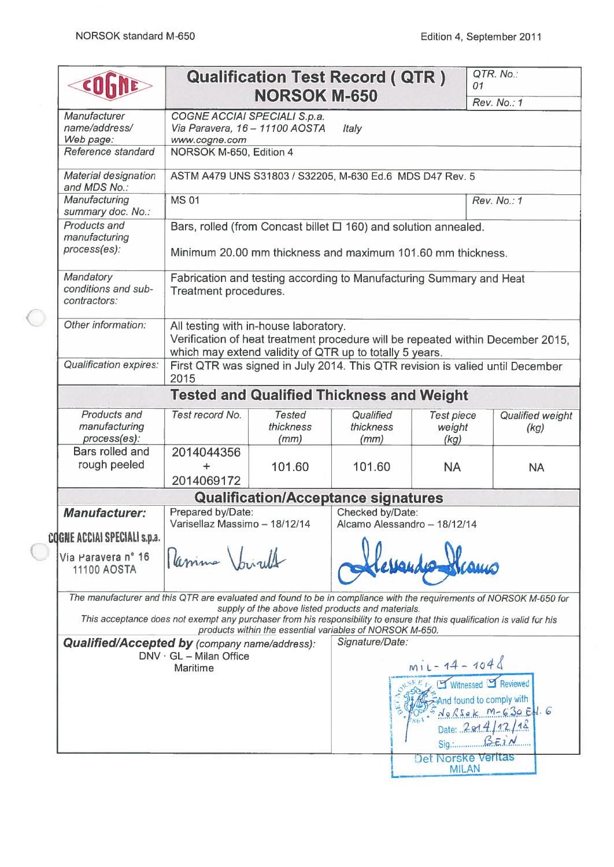e

|                                                                                                                     |                                                                                                                          | <b>Qualification Test Record ( QTR )</b><br><b>NORSOK M-650</b>                                                                                                                     |                   |                              | 01           | QTR. No.:                                                                                       |
|---------------------------------------------------------------------------------------------------------------------|--------------------------------------------------------------------------------------------------------------------------|-------------------------------------------------------------------------------------------------------------------------------------------------------------------------------------|-------------------|------------------------------|--------------|-------------------------------------------------------------------------------------------------|
| Manufacturer                                                                                                        | COGNE ACCIAI SPECIALI S.p.a.                                                                                             |                                                                                                                                                                                     |                   |                              |              | Rev. No.: 1                                                                                     |
| name/address/                                                                                                       | Via Paravera, 16 - 11100 AOSTA                                                                                           |                                                                                                                                                                                     | Italy             |                              |              |                                                                                                 |
| Web page:                                                                                                           | www.cogne.com                                                                                                            |                                                                                                                                                                                     |                   |                              |              |                                                                                                 |
| Reference standard                                                                                                  | NORSOK M-650, Edition 4                                                                                                  |                                                                                                                                                                                     |                   |                              |              |                                                                                                 |
| Material designation<br>and MDS No.:                                                                                |                                                                                                                          | ASTM A479 UNS S31803 / S32205, M-630 Ed.6 MDS D47 Rev. 5                                                                                                                            |                   |                              |              |                                                                                                 |
| Manufacturing<br>summary doc. No.:                                                                                  | <b>MS01</b>                                                                                                              |                                                                                                                                                                                     |                   |                              |              | Rev. No.: 1                                                                                     |
| Products and<br>manufacturing<br>process(es):                                                                       |                                                                                                                          | Bars, rolled (from Concast billet $\Box$ 160) and solution annealed.<br>Minimum 20.00 mm thickness and maximum 101.60 mm thickness.                                                 |                   |                              |              |                                                                                                 |
| Mandatory<br>conditions and sub-<br>contractors:                                                                    | Treatment procedures.                                                                                                    | Fabrication and testing according to Manufacturing Summary and Heat                                                                                                                 |                   |                              |              |                                                                                                 |
| Other information:                                                                                                  |                                                                                                                          | All testing with in-house laboratory.<br>Verification of heat treatment procedure will be repeated within December 2015.<br>which may extend validity of QTR up to totally 5 years. |                   |                              |              |                                                                                                 |
| <b>Qualification expires:</b>                                                                                       | 2015                                                                                                                     | First QTR was signed in July 2014. This QTR revision is valied until December                                                                                                       |                   |                              |              |                                                                                                 |
|                                                                                                                     |                                                                                                                          | <b>Tested and Qualified Thickness and Weight</b>                                                                                                                                    |                   |                              |              |                                                                                                 |
| Products and                                                                                                        | Test record No.                                                                                                          | <b>Tested</b>                                                                                                                                                                       | Qualified         | <b>Test piece</b>            |              | Qualified weight                                                                                |
| manufacturing<br>process(es):                                                                                       |                                                                                                                          | thickness<br>(mm)                                                                                                                                                                   | thickness<br>(mm) | weight<br>(kg)               |              | (kg)                                                                                            |
| Bars rolled and                                                                                                     | 2014044356                                                                                                               |                                                                                                                                                                                     |                   |                              |              |                                                                                                 |
| rough peeled                                                                                                        | $\div$                                                                                                                   | 101.60                                                                                                                                                                              | 101.60            | <b>NA</b>                    |              | <b>NA</b>                                                                                       |
|                                                                                                                     | 2014069172                                                                                                               |                                                                                                                                                                                     |                   |                              |              |                                                                                                 |
|                                                                                                                     |                                                                                                                          | <b>Qualification/Acceptance signatures</b>                                                                                                                                          |                   |                              |              |                                                                                                 |
| <b>Manufacturer:</b>                                                                                                | Prepared by/Date:<br>Varisellaz Massimo - 18/12/14                                                                       |                                                                                                                                                                                     | Checked by/Date:  | Alcamo Alessandro - 18/12/14 |              |                                                                                                 |
| COGNE ACCIAI SPECIALI s.p.a.                                                                                        |                                                                                                                          |                                                                                                                                                                                     |                   |                              |              |                                                                                                 |
| Via Paravera nº 16<br>11100 AOSTA                                                                                   | Camina Inight                                                                                                            |                                                                                                                                                                                     |                   |                              |              |                                                                                                 |
| The manufacturer and this QTR are evaluated and found to be in compliance with the requirements of NORSOK M-650 for |                                                                                                                          | supply of the above listed products and materials.                                                                                                                                  |                   |                              |              |                                                                                                 |
|                                                                                                                     | This acceptance does not exempt any purchaser from his responsibility to ensure that this qualification is valid for his | products within the essential variables of NORSOK M-650.                                                                                                                            |                   |                              |              |                                                                                                 |
| <b>Qualified/Accepted by (company name/address):</b>                                                                | $DNV \cdot GL - Milan$ Office                                                                                            |                                                                                                                                                                                     | Signature/Date:   |                              |              |                                                                                                 |
|                                                                                                                     | Maritime                                                                                                                 |                                                                                                                                                                                     |                   | $m11 - 14 - 1048$            |              |                                                                                                 |
|                                                                                                                     |                                                                                                                          |                                                                                                                                                                                     |                   |                              | Sig SEi M    | Witnessed S Reviewed<br>And found to comply with<br>$N_0RSak$ M-630 Ed. 6<br>Date: $2914/12/18$ |
|                                                                                                                     |                                                                                                                          |                                                                                                                                                                                     |                   | Det Norske Verltas           | <b>MILAN</b> |                                                                                                 |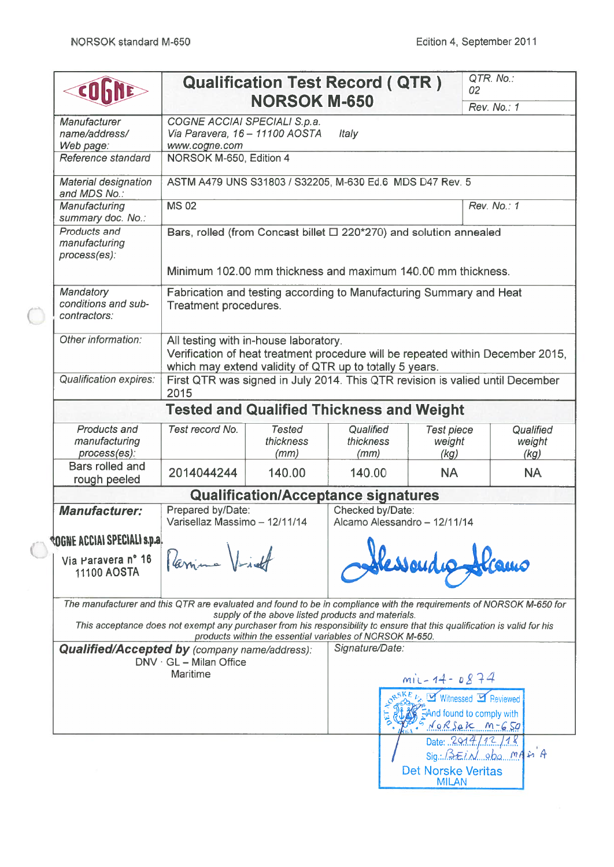$\subset$ 

 $\left(\begin{matrix} 1 \\ 1 \end{matrix}\right)$ 

|                                                                                                                     |                                                                                 |                                    | <b>Qualification Test Record ( QTR )</b>                                                                       |                                           | QTR. No.:<br>02                                                                                                          |
|---------------------------------------------------------------------------------------------------------------------|---------------------------------------------------------------------------------|------------------------------------|----------------------------------------------------------------------------------------------------------------|-------------------------------------------|--------------------------------------------------------------------------------------------------------------------------|
|                                                                                                                     |                                                                                 | <b>NORSOK M-650</b>                |                                                                                                                |                                           | Rev. No.: 1                                                                                                              |
| Manufacturer<br>name/address/                                                                                       | COGNE ACCIAI SPECIALI S.p.a.<br>Via Paravera, 16 - 11100 AOSTA<br>www.cogne.com |                                    | Italy                                                                                                          |                                           |                                                                                                                          |
| Web page:<br>Reference standard                                                                                     | NORSOK M-650, Edition 4                                                         |                                    |                                                                                                                |                                           |                                                                                                                          |
| <b>Material designation</b><br>and MDS No.:                                                                         |                                                                                 |                                    | ASTM A479 UNS S31803 / S32205, M-630 Ed.6 MDS D47 Rev. 5                                                       |                                           |                                                                                                                          |
| Manufacturing<br>summary doc. No.:                                                                                  | <b>MS 02</b>                                                                    |                                    |                                                                                                                |                                           | Rev. No.: 1                                                                                                              |
| Products and<br>manufacturing<br>process(es):                                                                       |                                                                                 |                                    | Bars, rolled (from Concast billet □ 220*270) and solution annealed                                             |                                           |                                                                                                                          |
|                                                                                                                     |                                                                                 |                                    | Minimum 102.00 mm thickness and maximum 140.00 mm thickness.                                                   |                                           |                                                                                                                          |
| Mandatory<br>conditions and sub-<br>contractors:                                                                    | Treatment procedures.                                                           |                                    | Fabrication and testing according to Manufacturing Summary and Heat                                            |                                           |                                                                                                                          |
| Other information:                                                                                                  | All testing with in-house laboratory.                                           |                                    | which may extend validity of QTR up to totally 5 years.                                                        |                                           | Verification of heat treatment procedure will be repeated within December 2015,                                          |
| <b>Qualification expires:</b>                                                                                       | 2015                                                                            |                                    |                                                                                                                |                                           | First QTR was signed in July 2014. This QTR revision is valied until December                                            |
|                                                                                                                     |                                                                                 |                                    | <b>Tested and Qualified Thickness and Weight</b>                                                               |                                           |                                                                                                                          |
| Products and<br>manufacturing<br>process(es):                                                                       | Test record No.                                                                 | <b>Tested</b><br>thickness<br>(mm) | Qualified<br>thickness<br>(mm)                                                                                 | <b>Test piece</b><br>weight<br>(kg)       | Qualified<br>weight<br>(kg)                                                                                              |
| Bars rolled and<br>rough peeled                                                                                     | 2014044244                                                                      | 140.00                             | 140.00                                                                                                         | <b>NA</b>                                 | <b>NA</b>                                                                                                                |
|                                                                                                                     |                                                                                 |                                    | <b>Qualification/Acceptance signatures</b>                                                                     |                                           |                                                                                                                          |
| <b>Manufacturer:</b>                                                                                                | Prepared by/Date:<br>Varisellaz Massimo - 12/11/14                              |                                    | Checked by/Date:<br>Alcamo Alessandro - 12/11/14                                                               |                                           |                                                                                                                          |
| <b>ROGNE ACCIAI SPECIALI s.p.a.</b>                                                                                 |                                                                                 |                                    |                                                                                                                |                                           |                                                                                                                          |
| Via Paravera nº 16<br>11100 AOSTA                                                                                   | Parina VL                                                                       |                                    |                                                                                                                |                                           |                                                                                                                          |
| The manufacturer and this QTR are evaluated and found to be in compliance with the requirements of NORSOK M-650 for |                                                                                 |                                    |                                                                                                                |                                           |                                                                                                                          |
|                                                                                                                     |                                                                                 |                                    | supply of the above listed products and materials.<br>products within the essential variables of NORSOK M-650. |                                           | This acceptance does not exempt any purchaser from his responsibility to ensure that this qualification is valid for his |
| <b>Qualified/Accepted by (company name/address):</b>                                                                | $DNV \cdot GL - Milan$ Office                                                   |                                    | Signature/Date:                                                                                                |                                           |                                                                                                                          |
|                                                                                                                     | <b>Maritime</b>                                                                 |                                    |                                                                                                                | $miz - 14 - 0874$                         |                                                                                                                          |
|                                                                                                                     |                                                                                 |                                    |                                                                                                                |                                           | <b>Mitnessed My Reviewed</b><br>FAnd found to comply with<br>$N_0R\zeta_4K$ $m-650$                                      |
|                                                                                                                     |                                                                                 |                                    |                                                                                                                |                                           | Date: $2914/12/18$<br>Sig. BEIN oba MAMA                                                                                 |
|                                                                                                                     |                                                                                 |                                    |                                                                                                                | <b>Det Norske Veritas</b><br><b>MILAN</b> |                                                                                                                          |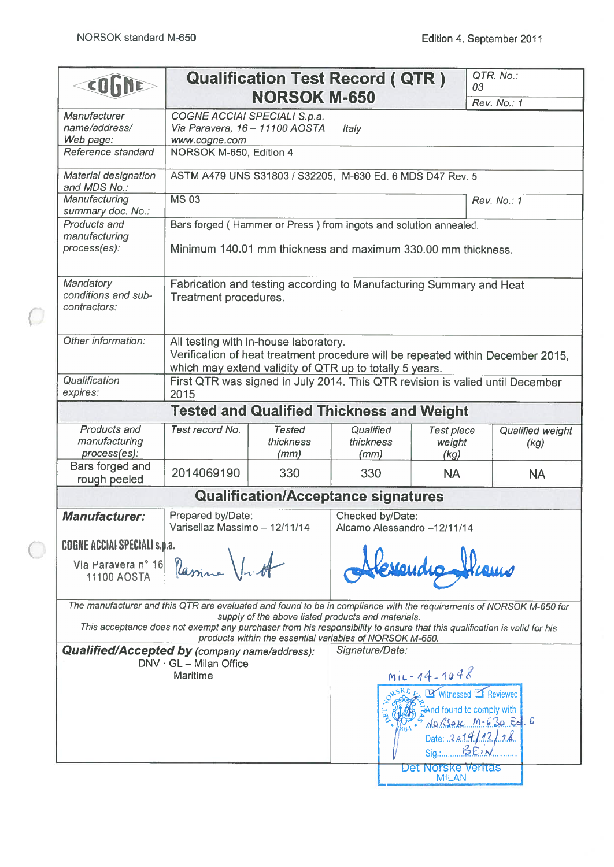$\subset$ 

| COLIDE                                                                                                              |                                                                                                                                                                                     | Qualification Test Record(QTR)                           |                                |                                                                                                                                                                                                                                                                                                                                                                                                       | 03 | QTR. No.:                |
|---------------------------------------------------------------------------------------------------------------------|-------------------------------------------------------------------------------------------------------------------------------------------------------------------------------------|----------------------------------------------------------|--------------------------------|-------------------------------------------------------------------------------------------------------------------------------------------------------------------------------------------------------------------------------------------------------------------------------------------------------------------------------------------------------------------------------------------------------|----|--------------------------|
|                                                                                                                     |                                                                                                                                                                                     | <b>NORSOK M-650</b>                                      |                                |                                                                                                                                                                                                                                                                                                                                                                                                       |    | Rev. No.: 1              |
| Manufacturer<br>name/address/<br>Web page:                                                                          | COGNE ACCIAI SPECIALI S.p.a.<br>Via Paravera, 16 - 11100 AOSTA<br>www.cogne.com                                                                                                     |                                                          | <b>Italy</b>                   |                                                                                                                                                                                                                                                                                                                                                                                                       |    |                          |
| Reference standard                                                                                                  | NORSOK M-650, Edition 4                                                                                                                                                             |                                                          |                                |                                                                                                                                                                                                                                                                                                                                                                                                       |    |                          |
| Material designation<br>and MDS No.:                                                                                | ASTM A479 UNS S31803 / S32205, M-630 Ed. 6 MDS D47 Rev. 5                                                                                                                           |                                                          |                                |                                                                                                                                                                                                                                                                                                                                                                                                       |    |                          |
| Manufacturing<br>summary doc. No.:                                                                                  | <b>MS 03</b>                                                                                                                                                                        |                                                          |                                |                                                                                                                                                                                                                                                                                                                                                                                                       |    | Rev. No.: 1              |
| Products and<br>manufacturing                                                                                       | Bars forged (Hammer or Press) from ingots and solution annealed.                                                                                                                    |                                                          |                                |                                                                                                                                                                                                                                                                                                                                                                                                       |    |                          |
| process(es):                                                                                                        | Minimum 140.01 mm thickness and maximum 330.00 mm thickness.                                                                                                                        |                                                          |                                |                                                                                                                                                                                                                                                                                                                                                                                                       |    |                          |
| Mandatory<br>conditions and sub-<br>contractors:                                                                    | Fabrication and testing according to Manufacturing Summary and Heat<br>Treatment procedures.                                                                                        |                                                          |                                |                                                                                                                                                                                                                                                                                                                                                                                                       |    |                          |
| Other information:                                                                                                  | All testing with in-house laboratory.<br>Verification of heat treatment procedure will be repeated within December 2015,<br>which may extend validity of QTR up to totally 5 years. |                                                          |                                |                                                                                                                                                                                                                                                                                                                                                                                                       |    |                          |
| Qualification<br>expires:                                                                                           | First QTR was signed in July 2014. This QTR revision is valied until December<br>2015                                                                                               |                                                          |                                |                                                                                                                                                                                                                                                                                                                                                                                                       |    |                          |
|                                                                                                                     |                                                                                                                                                                                     | <b>Tested and Qualified Thickness and Weight</b>         |                                |                                                                                                                                                                                                                                                                                                                                                                                                       |    |                          |
| Products and<br>manufacturing<br>process(es):                                                                       | Test record No.                                                                                                                                                                     | <b>Tested</b><br>thickness<br>(mm)                       | Qualified<br>thickness<br>(mm) | <b>Test piece</b><br>weight<br>(kg)                                                                                                                                                                                                                                                                                                                                                                   |    | Qualified weight<br>(kg) |
| Bars forged and<br>rough peeled                                                                                     | 2014069190                                                                                                                                                                          | 330                                                      | 330                            | <b>NA</b>                                                                                                                                                                                                                                                                                                                                                                                             |    | <b>NA</b>                |
|                                                                                                                     |                                                                                                                                                                                     | <b>Qualification/Acceptance signatures</b>               |                                |                                                                                                                                                                                                                                                                                                                                                                                                       |    |                          |
| <b>Manufacturer:</b>                                                                                                | Prepared by/Date:<br>Varisellaz Massimo - 12/11/14                                                                                                                                  |                                                          | Checked by/Date:               | Alcamo Alessandro -12/11/14                                                                                                                                                                                                                                                                                                                                                                           |    |                          |
| <b>COGNE ACCIAI SPECIALI s.p.a.</b>                                                                                 |                                                                                                                                                                                     |                                                          |                                |                                                                                                                                                                                                                                                                                                                                                                                                       |    |                          |
| Via Paravera nº 16<br>11100 AOSTA                                                                                   | Rassine \1                                                                                                                                                                          |                                                          |                                |                                                                                                                                                                                                                                                                                                                                                                                                       |    |                          |
| The manufacturer and this QTR are evaluated and found to be in compliance with the requirements of NORSOK M-650 for | This acceptance does not exempt any purchaser from his responsibility to ensure that this qualification is valid for his                                                            | supply of the above listed products and materials.       |                                |                                                                                                                                                                                                                                                                                                                                                                                                       |    |                          |
|                                                                                                                     |                                                                                                                                                                                     | products within the essential variables of NORSOK M-650. | Signature/Date:                |                                                                                                                                                                                                                                                                                                                                                                                                       |    |                          |
| <b>Qualified/Accepted by (company name/address):</b>                                                                | $DNV \cdot GL - Milan$ Office<br><b>Maritime</b>                                                                                                                                    |                                                          |                                | $mix-14-1048$                                                                                                                                                                                                                                                                                                                                                                                         |    |                          |
|                                                                                                                     |                                                                                                                                                                                     |                                                          |                                | $\frac{SKE}{2}$ by Witnessed $\Box$ Reviewed<br>$\frac{1}{2}$ And found to comply with $\frac{1}{2}$ An <i>K</i> se $\frac{1}{2}$ $\frac{1}{2}$ $\frac{1}{2}$ $\frac{1}{2}$ $\frac{1}{2}$ $\frac{1}{2}$ $\frac{1}{2}$ $\frac{1}{2}$ $\frac{1}{2}$ $\frac{1}{2}$ $\frac{1}{2}$ $\frac{1}{2}$ $\frac{1}{2}$ $\frac{1}{2}$ $\frac{1}{2}$ $\frac{1}{2}$ $\frac{1}{$<br>Date: $2a14/12/18$<br>$Sign$ $BEN$ |    |                          |
|                                                                                                                     |                                                                                                                                                                                     |                                                          |                                | Det Norske Verltas<br><b>MILAN</b>                                                                                                                                                                                                                                                                                                                                                                    |    |                          |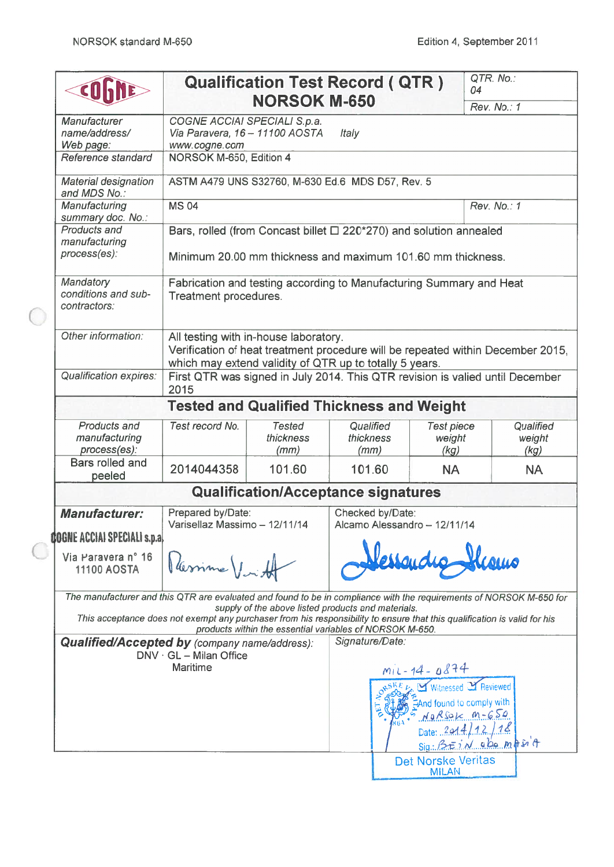|                                                                                                                     |                                                                                                                                                                                     | <b>Qualification Test Record ( QTR )</b>                 |                                |                                                  | QTR. No.:<br>04                                                                             |                             |
|---------------------------------------------------------------------------------------------------------------------|-------------------------------------------------------------------------------------------------------------------------------------------------------------------------------------|----------------------------------------------------------|--------------------------------|--------------------------------------------------|---------------------------------------------------------------------------------------------|-----------------------------|
|                                                                                                                     |                                                                                                                                                                                     | <b>NORSOK M-650</b>                                      |                                |                                                  | Rev. No.: 1                                                                                 |                             |
| Manufacturer<br>name/address/<br>Web page:                                                                          | COGNE ACCIAI SPECIALI S.p.a.<br>Via Paravera, 16 - 11100 AOSTA<br>www.cogne.com                                                                                                     |                                                          | Italy                          |                                                  |                                                                                             |                             |
| Reference standard                                                                                                  | NORSOK M-650, Edition 4                                                                                                                                                             |                                                          |                                |                                                  |                                                                                             |                             |
| <b>Material designation</b><br>and MDS No.:                                                                         | ASTM A479 UNS S32760, M-630 Ed.6 MDS D57, Rev. 5                                                                                                                                    |                                                          |                                |                                                  |                                                                                             |                             |
| Manufacturing                                                                                                       | <b>MS 04</b>                                                                                                                                                                        |                                                          |                                |                                                  | Rev. No.: 1                                                                                 |                             |
| summary doc. No.:<br>Products and<br>manufacturing<br>process(es):                                                  | Bars, rolled (from Concast billet $\Box$ 220*270) and solution annealed<br>Minimum 20.00 mm thickness and maximum 101.60 mm thickness.                                              |                                                          |                                |                                                  |                                                                                             |                             |
| Mandatory<br>conditions and sub-<br>contractors:                                                                    | Fabrication and testing according to Manufacturing Summary and Heat<br>Treatment procedures.                                                                                        |                                                          |                                |                                                  |                                                                                             |                             |
| Other information:                                                                                                  | All testing with in-house laboratory.<br>Verification of heat treatment procedure will be repeated within December 2015,<br>which may extend validity of QTR up to totally 5 years. |                                                          |                                |                                                  |                                                                                             |                             |
| <b>Qualification expires:</b>                                                                                       | First QTR was signed in July 2014. This QTR revision is valied until December<br>2015                                                                                               |                                                          |                                |                                                  |                                                                                             |                             |
|                                                                                                                     | <b>Tested and Qualified Thickness and Weight</b>                                                                                                                                    |                                                          |                                |                                                  |                                                                                             |                             |
| Products and<br>manufacturing<br>process(es):                                                                       | Test record No.                                                                                                                                                                     | <b>Tested</b><br>thickness<br>(mm)                       | Qualified<br>thickness<br>(mm) | <b>Test piece</b><br>weight<br>(kg)              |                                                                                             | Qualified<br>weight<br>(kg) |
| Bars rolled and<br>peeled                                                                                           | 2014044358                                                                                                                                                                          | 101.60                                                   | 101.60                         | <b>NA</b>                                        |                                                                                             | <b>NA</b>                   |
|                                                                                                                     |                                                                                                                                                                                     | <b>Qualification/Acceptance signatures</b>               |                                |                                                  |                                                                                             |                             |
| <b>Manufacturer:</b>                                                                                                | Prepared by/Date:<br>Varisellaz Massimo - 12/11/14                                                                                                                                  |                                                          |                                | Checked by/Date:<br>Alcamo Alessandro - 12/11/14 |                                                                                             |                             |
| <b>COGNE ACCIAI SPECIALI s.p.al</b>                                                                                 |                                                                                                                                                                                     |                                                          |                                |                                                  |                                                                                             |                             |
| Via Paravera nº 16<br><b>11100 AOSTA</b>                                                                            | Varine /                                                                                                                                                                            |                                                          |                                | essande                                          |                                                                                             |                             |
| The manufacturer and this QTR are evaluated and found to be in compliance with the requirements of NORSOK M-650 for | This acceptance does not exempt any purchaser from his responsibility to ensure that this qualification is valid for his                                                            | supply of the above listed products and materials.       |                                |                                                  |                                                                                             |                             |
| <b>Qualified/Accepted by (company name/address):</b>                                                                |                                                                                                                                                                                     | products within the essential variables of NORSOK M-650. | Signature/Date:                |                                                  |                                                                                             |                             |
|                                                                                                                     | $DNV \cdot GL - Milan$ Office                                                                                                                                                       |                                                          |                                |                                                  |                                                                                             |                             |
|                                                                                                                     | <b>Maritime</b>                                                                                                                                                                     |                                                          |                                | $M/L - 14 - 0874$                                | Witnessed Y Reviewed<br>And found to comply with<br>$MgRSolc$ $m-GSO$<br>Date: $2014/12/18$ |                             |
|                                                                                                                     |                                                                                                                                                                                     |                                                          |                                |                                                  | Sig: BEIN abompsin                                                                          |                             |
|                                                                                                                     |                                                                                                                                                                                     |                                                          |                                | Det Norske Veritas<br><b>MILAN</b>               |                                                                                             |                             |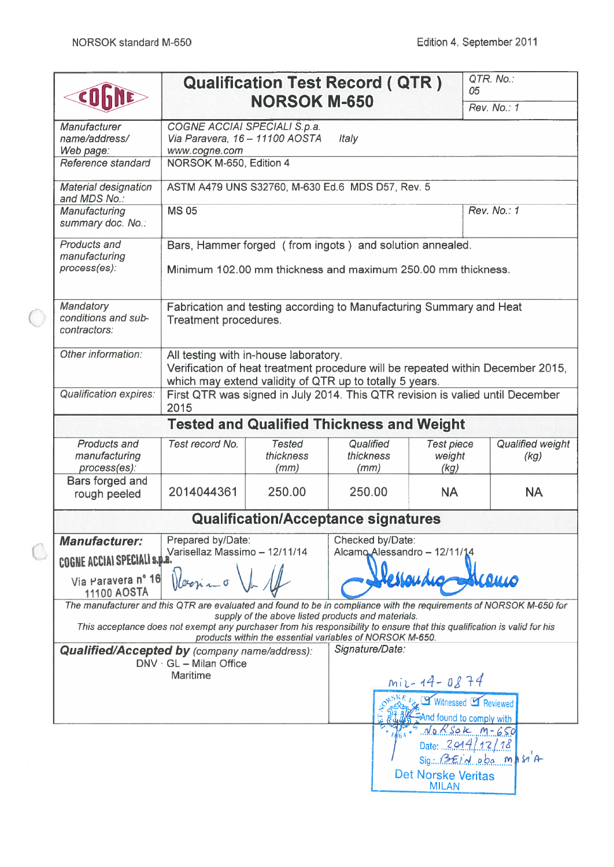|                                                                   |                                                                                 |                                    | <b>Qualification Test Record ( QTR )</b>                                                                                                                                                                                                   |                                                          | QTR. No.:<br>05                                                                                                     |
|-------------------------------------------------------------------|---------------------------------------------------------------------------------|------------------------------------|--------------------------------------------------------------------------------------------------------------------------------------------------------------------------------------------------------------------------------------------|----------------------------------------------------------|---------------------------------------------------------------------------------------------------------------------|
|                                                                   |                                                                                 | <b>NORSOK M-650</b>                |                                                                                                                                                                                                                                            |                                                          | Rev. No.: 1                                                                                                         |
| Manufacturer<br>name/address/                                     | COGNE ACCIAI SPECIALI S.p.a.<br>Via Paravera, 16 - 11100 AOSTA<br>www.cogne.com |                                    | Italy                                                                                                                                                                                                                                      |                                                          |                                                                                                                     |
| Web page:<br>Reference standard                                   | NORSOK M-650, Edition 4                                                         |                                    |                                                                                                                                                                                                                                            |                                                          |                                                                                                                     |
| <b>Material designation</b>                                       |                                                                                 |                                    | ASTM A479 UNS S32760, M-630 Ed.6 MDS D57, Rev. 5                                                                                                                                                                                           |                                                          |                                                                                                                     |
| and MDS No.:<br>Manufacturing<br>summary doc. No.:                | <b>MS 05</b>                                                                    |                                    |                                                                                                                                                                                                                                            |                                                          | Rev. No.: 1                                                                                                         |
| Products and<br>manufacturing<br>process(es):                     |                                                                                 |                                    | Bars, Hammer forged (from ingots) and solution annealed.<br>Minimum 102.00 mm thickness and maximum 250.00 mm thickness.                                                                                                                   |                                                          |                                                                                                                     |
| Mandatory<br>conditions and sub-<br>contractors:                  | Treatment procedures.                                                           |                                    | Fabrication and testing according to Manufacturing Summary and Heat                                                                                                                                                                        |                                                          |                                                                                                                     |
| Other information:                                                | All testing with in-house laboratory.                                           |                                    | which may extend validity of QTR up to totally 5 years.                                                                                                                                                                                    |                                                          | Verification of heat treatment procedure will be repeated within December 2015,                                     |
| <b>Qualification expires:</b>                                     | 2015                                                                            |                                    |                                                                                                                                                                                                                                            |                                                          | First QTR was signed in July 2014. This QTR revision is valied until December                                       |
|                                                                   |                                                                                 |                                    | <b>Tested and Qualified Thickness and Weight</b>                                                                                                                                                                                           |                                                          |                                                                                                                     |
| Products and<br>manufacturing<br>process(es):                     | Test record No.                                                                 | <b>Tested</b><br>thickness<br>(mm) | Qualified<br>thickness<br>(mm)                                                                                                                                                                                                             | <b>Test piece</b><br>weight<br>(kg)                      | Qualified weight<br>(kg)                                                                                            |
| Bars forged and<br>rough peeled                                   | 2014044361                                                                      | 250.00                             | 250.00                                                                                                                                                                                                                                     | <b>NA</b>                                                | <b>NA</b>                                                                                                           |
|                                                                   |                                                                                 |                                    | <b>Qualification/Acceptance signatures</b>                                                                                                                                                                                                 |                                                          |                                                                                                                     |
| <b>Manufacturer:</b>                                              | Prepared by/Date:<br>Varisellaz Massimo - 12/11/14                              |                                    | Checked by/Date:<br>Alcamo Alessandro - 12/11/14                                                                                                                                                                                           |                                                          |                                                                                                                     |
| COGNE ACCIAI SPECIALI s.p.a)<br>Via Paravera nº 16<br>11100 AOSTA |                                                                                 |                                    |                                                                                                                                                                                                                                            |                                                          |                                                                                                                     |
|                                                                   |                                                                                 |                                    | supply of the above listed products and materials.<br>This acceptance does not exempt any purchaser from his responsibility to ensure that this qualification is valid for his<br>products within the essential variables of NORSOK M-650. |                                                          | The manufacturer and this QTR are evaluated and found to be in compliance with the requirements of NORSOK M-650 for |
| <b>Qualified/Accepted by (company name/address):</b>              | $DNV \cdot GL - Milan$ Office<br>Maritime                                       |                                    | Signature/Date:                                                                                                                                                                                                                            |                                                          |                                                                                                                     |
|                                                                   |                                                                                 |                                    |                                                                                                                                                                                                                                            | $mix-14-0874$<br>And found to comply with                | Witnessed Feviewed                                                                                                  |
|                                                                   |                                                                                 |                                    |                                                                                                                                                                                                                                            | NaRSOK M-650<br>Date: $2014/12/18$<br>Det Norske Veritas | $Sign. \nBéilA. oba. mHs1A$                                                                                         |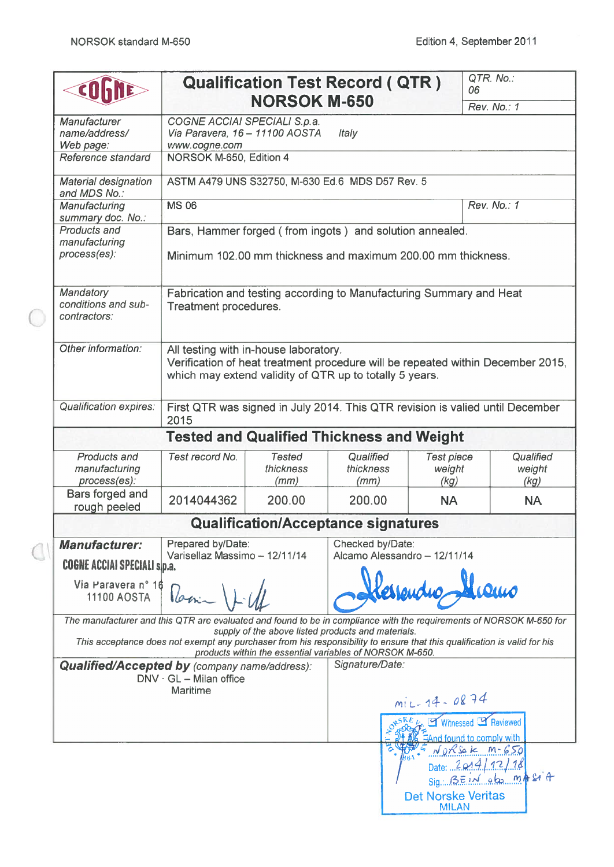|                                                                                                                     |                                                                                 |                                    | <b>Qualification Test Record ( QTR )</b>                                                                                                                                             | 06                                                 | QTR. No.:                   |
|---------------------------------------------------------------------------------------------------------------------|---------------------------------------------------------------------------------|------------------------------------|--------------------------------------------------------------------------------------------------------------------------------------------------------------------------------------|----------------------------------------------------|-----------------------------|
|                                                                                                                     |                                                                                 | <b>NORSOK M-650</b>                |                                                                                                                                                                                      |                                                    | Rev. No.: 1                 |
| Manufacturer<br>name/address/<br>Web page:                                                                          | COGNE ACCIAI SPECIALI S.p.a.<br>Via Paravera, 16 - 11100 AOSTA<br>www.cogne.com |                                    | Italy                                                                                                                                                                                |                                                    |                             |
| Reference standard                                                                                                  | NORSOK M-650, Edition 4                                                         |                                    |                                                                                                                                                                                      |                                                    |                             |
| <b>Material designation</b><br>and MDS No.:                                                                         |                                                                                 |                                    | ASTM A479 UNS S32750, M-630 Ed.6 MDS D57 Rev. 5                                                                                                                                      |                                                    |                             |
| Manufacturing<br>summary doc. No.:                                                                                  | <b>MS 06</b>                                                                    |                                    |                                                                                                                                                                                      |                                                    | Rev. No.: 1                 |
| Products and<br>manufacturing<br>process(es):                                                                       |                                                                                 |                                    | Bars, Hammer forged (from ingots) and solution annealed.<br>Minimum 102.00 mm thickness and maximum 200.00 mm thickness.                                                             |                                                    |                             |
| Mandatory<br>conditions and sub-<br>contractors:                                                                    | Treatment procedures.                                                           |                                    | Fabrication and testing according to Manufacturing Summary and Heat                                                                                                                  |                                                    |                             |
| Other information:                                                                                                  | All testing with in-house laboratory.                                           |                                    | Verification of heat treatment procedure will be repeated within December 2015,<br>which may extend validity of QTR up to totally 5 years.                                           |                                                    |                             |
| <b>Qualification expires:</b>                                                                                       | 2015                                                                            |                                    | First QTR was signed in July 2014. This QTR revision is valied until December                                                                                                        |                                                    |                             |
|                                                                                                                     |                                                                                 |                                    | <b>Tested and Qualified Thickness and Weight</b>                                                                                                                                     |                                                    |                             |
| Products and<br>manufacturing<br>process(es):                                                                       | Test record No.                                                                 | <b>Tested</b><br>thickness<br>(mm) | Qualified<br>thickness<br>(mm)                                                                                                                                                       | <b>Test piece</b><br>weight<br>(kg)                | Qualified<br>weight<br>(kg) |
| Bars forged and<br>rough peeled                                                                                     | 2014044362                                                                      | 200.00                             | 200.00                                                                                                                                                                               | <b>NA</b>                                          | <b>NA</b>                   |
|                                                                                                                     |                                                                                 |                                    | <b>Qualification/Acceptance signatures</b>                                                                                                                                           |                                                    |                             |
| <b>Manufacturer:</b>                                                                                                | Prepared by/Date:<br>Varisellaz Massimo - 12/11/14                              |                                    | Checked by/Date:<br>Alcamo Alessandro - 12/11/14                                                                                                                                     |                                                    |                             |
| <b>COGNE ACCIAI SPECIALI s.p.a.</b>                                                                                 |                                                                                 |                                    |                                                                                                                                                                                      |                                                    |                             |
| Via Paravera nº 16<br><b>11100 AOSTA</b>                                                                            | Parin                                                                           |                                    |                                                                                                                                                                                      |                                                    |                             |
| The manufacturer and this QTR are evaluated and found to be in compliance with the requirements of NORSOK M-650 for |                                                                                 |                                    | supply of the above listed products and materials.                                                                                                                                   |                                                    |                             |
|                                                                                                                     |                                                                                 |                                    | This acceptance does not exempt any purchaser from his responsibility to ensure that this qualification is valid for his<br>products within the essential variables of NORSOK M-650. |                                                    |                             |
| <b>Qualified/Accepted by (company name/address):</b>                                                                | $DNV \cdot GL - Milan$ office<br><b>Maritime</b>                                |                                    | Signature/Date:                                                                                                                                                                      |                                                    |                             |
|                                                                                                                     |                                                                                 |                                    |                                                                                                                                                                                      | $miz - 14 - 0874$                                  |                             |
|                                                                                                                     |                                                                                 |                                    |                                                                                                                                                                                      | Witnessed LA Reviewed<br>EAnd found to comply with |                             |
|                                                                                                                     |                                                                                 |                                    |                                                                                                                                                                                      | $N_0R$ Sok $m-650$<br>Date: $2014/12/18$           |                             |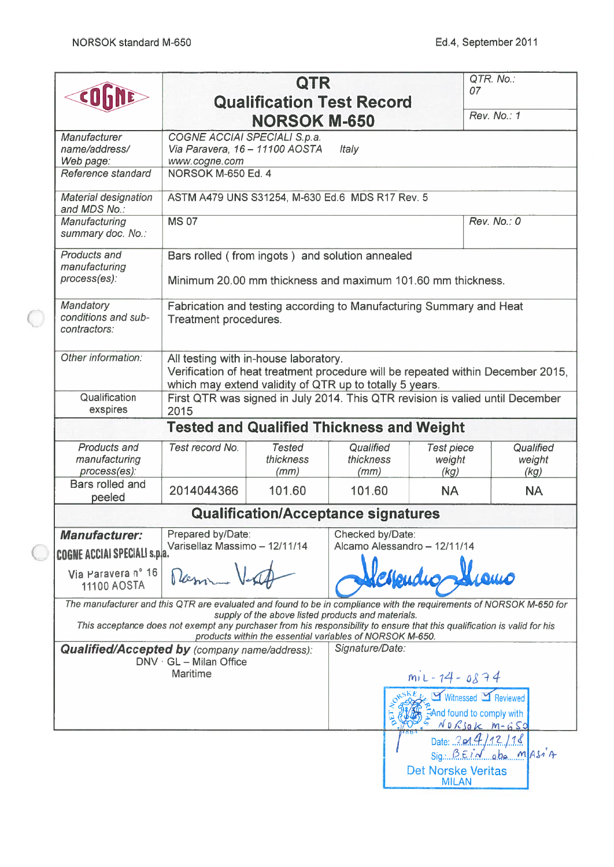|                                                                                                                     |                                                                                                                          | <b>QTR</b><br><b>Qualification Test Record</b>                                                                 |                                |                                     | QTR. No.:<br>07                                                                 |
|---------------------------------------------------------------------------------------------------------------------|--------------------------------------------------------------------------------------------------------------------------|----------------------------------------------------------------------------------------------------------------|--------------------------------|-------------------------------------|---------------------------------------------------------------------------------|
|                                                                                                                     |                                                                                                                          | <b>NORSOK M-650</b>                                                                                            |                                |                                     | Rev. No.: 1                                                                     |
| <b>Manufacturer</b><br>name/address/<br>Web page:                                                                   | COGNE ACCIAI SPECIALI S.p.a.<br>Via Paravera, 16 - 11100 AOSTA<br>www.cogne.com                                          |                                                                                                                | Italy                          |                                     |                                                                                 |
| Reference standard                                                                                                  | NORSOK M-650 Ed. 4                                                                                                       |                                                                                                                |                                |                                     |                                                                                 |
| <b>Material designation</b><br>and MDS No.:                                                                         | ASTM A479 UNS S31254, M-630 Ed.6 MDS R17 Rev. 5                                                                          |                                                                                                                |                                |                                     |                                                                                 |
| Manufacturing<br>summary doc. No.:                                                                                  | <b>MS 07</b>                                                                                                             |                                                                                                                |                                |                                     | Rev. No.: 0                                                                     |
| <b>Products and</b><br>manufacturing<br>process(es):                                                                | Bars rolled (from ingots) and solution annealed<br>Minimum 20.00 mm thickness and maximum 101.60 mm thickness.           |                                                                                                                |                                |                                     |                                                                                 |
| Mandatory<br>conditions and sub-<br>contractors:                                                                    | Fabrication and testing according to Manufacturing Summary and Heat<br>Treatment procedures.                             |                                                                                                                |                                |                                     |                                                                                 |
| Other information:                                                                                                  | All testing with in-house laboratory.<br>which may extend validity of QTR up to totally 5 years.                         |                                                                                                                |                                |                                     | Verification of heat treatment procedure will be repeated within December 2015, |
| Qualification<br>exspires                                                                                           | 2015                                                                                                                     |                                                                                                                |                                |                                     | First QTR was signed in July 2014. This QTR revision is valied until December   |
|                                                                                                                     | <b>Tested and Qualified Thickness and Weight</b>                                                                         |                                                                                                                |                                |                                     |                                                                                 |
| Products and<br>manufacturing<br>process(es):                                                                       | Test record No.                                                                                                          | <b>Tested</b><br><i>thickness</i><br>(mm)                                                                      | Qualified<br>thickness<br>(mm) | <b>Test piece</b><br>weight<br>(kg) | Qualified<br>weight<br>(kg)                                                     |
| Bars rolled and<br>peeled                                                                                           | 2014044366                                                                                                               | 101.60                                                                                                         | 101.60                         | <b>NA</b>                           | <b>NA</b>                                                                       |
|                                                                                                                     |                                                                                                                          | <b>Qualification/Acceptance signatures</b>                                                                     |                                |                                     |                                                                                 |
| <b>Manufacturer:</b><br>COGNE ACCIAI SPECIALI s.p/a.`                                                               | Prepared by/Date:<br>Varisellaz Massimo - 12/11/14                                                                       |                                                                                                                | Checked by/Date:               | Alcamo Alessandro - 12/11/14        |                                                                                 |
| Via Paravera nº 16<br><b>11100 AOSTA</b>                                                                            |                                                                                                                          |                                                                                                                |                                |                                     |                                                                                 |
| The manufacturer and this QTR are evaluated and found to be in compliance with the requirements of NORSOK M-650 for | This acceptance does not exempt any purchaser from his responsibility to ensure that this qualification is valid for his | supply of the above listed products and materials.<br>products within the essential variables of NORSOK M-650. |                                |                                     |                                                                                 |
| <b>Qualified/Accepted by (company name/address):</b>                                                                | $DNV \cdot GL - Milan$ Office<br><b>Maritime</b>                                                                         |                                                                                                                | Signature/Date:                | $m_1$ L - 14 - 0874                 |                                                                                 |
|                                                                                                                     |                                                                                                                          |                                                                                                                |                                |                                     | Witnessed MY Reviewed<br>EAnd found to comply with<br>No Rsok M-650             |
|                                                                                                                     |                                                                                                                          |                                                                                                                |                                | Det Norske Veritas                  | Date: $2014/12/18$<br>$Sign: BerM.$ oba MASIA                                   |